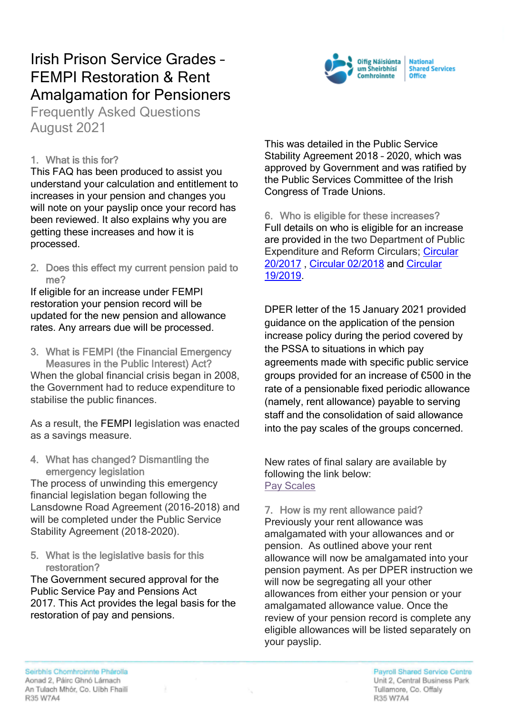# Irish Prison Service Grades – FEMPI Restoration & Rent Amalgamation for Pensioners

Frequently Asked Questions August 2021

### 1. What is this for?

This FAQ has been produced to assist you understand your calculation and entitlement to increases in your pension and changes you will note on your payslip once your record has been reviewed. It also explains why you are getting these increases and how it is processed.

2. Does this effect my current pension paid to me?

If eligible for an increase under FEMPI restoration your pension record will be updated for the new pension and allowance rates. Any arrears due will be processed.

3. What is FEMPI (the Financial Emergency Measures in the Public Interest) Act?

When the global financial crisis began in 2008. the Government had to reduce expenditure to stabilise the public finances.

As a result, the [FEMPI](https://www.gov.ie/en/publication/b9862a-financial-emergency-measures-in-the-public-interest-fempi-acts/) legislation was enacted as a savings measure.

4. What has changed? Dismantling the emergency legislation

The process of unwinding this emergency financial legislation began following the Lansdowne Road Agreement (2016-2018) and will be completed under the Public Service Stability Agreement (2018-2020).

5. What is the legislative basis for this restoration?

The Government secured approval for the Public Service Pay and Pensions Act 2017. This Act provides the legal basis for the restoration of pay and pensions.

This was detailed in the Public Service Stability Agreement 2018 – 2020, which was approved by Government and was ratified by the Public Services Committee of the Irish Congress of Trade Unions.

6. Who is eligible for these increases? Full details on who is eligible for an increase are provided in the two Department of Public Expenditure and Reform Circulars; [Circular](https://circulars.gov.ie/pdf/circular/per/2017/20.pdf)  [20/2017](https://circulars.gov.ie/pdf/circular/per/2017/20.pdf) , [Circular 02/2018](https://circulars.gov.ie/pdf/circular/per/2018/02.pdf) and [Circular](https://www.gov.ie/en/circular/b5d982-circular-192019-further-instruction-on-the-pension-increase-policy-i/)  [19/2019.](https://www.gov.ie/en/circular/b5d982-circular-192019-further-instruction-on-the-pension-increase-policy-i/)

DPER letter of the 15 January 2021 provided guidance on the application of the pension increase policy during the period covered by the PSSA to situations in which pay agreements made with specific public service groups provided for an increase of €500 in the rate of a pensionable fixed periodic allowance (namely, rent allowance) payable to serving staff and the consolidation of said allowance into the pay scales of the groups concerned.

New rates of final salary are available by following the link below: [Pay Scales](https://www.gov.ie/en/circular/39b2c-circular-12-2020-application-of-1st-of-october-2020-pay-adjustments/)

7. How is my rent allowance paid? Previously your rent allowance was amalgamated with your allowances and or pension. As outlined above your rent allowance will now be amalgamated into your pension payment. As per DPER instruction we will now be segregating all your other allowances from either your pension or your amalgamated allowance value. Once the review of your pension record is complete any eligible allowances will be listed separately on your payslip.

Seirbhis Chomhroinnte Phárolla Aonad 2, Páirc Ghnó Lárnach An Tulach Mhór, Co. Uibh Fhaili R35 W7A4

Payroll Shared Service Centre Unit 2, Central Business Park Tullamore, Co. Offaly R35 W7A4